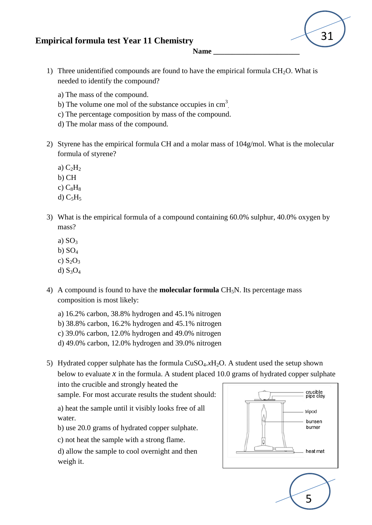## **Empirical formula test Year 11 Chemistry**



**Name \_\_\_\_\_\_\_\_\_\_\_\_\_\_\_\_\_\_\_\_\_\_\_**

- 1) Three unidentified compounds are found to have the empirical formula  $CH<sub>2</sub>O$ . What is needed to identify the compound?
	- a) The mass of the compound.
	- b) The volume one mol of the substance occupies in  $\text{cm}^3$ .
	- c) The percentage composition by mass of the compound.
	- d) The molar mass of the compound.
- 2) Styrene has the empirical formula CH and a molar mass of 104g/mol. What is the molecular formula of styrene?
	- a)  $C_2H_2$
	- b) CH
	- c)  $C_8H_8$
	- d)  $C_5H_5$
- 3) What is the empirical formula of a compound containing 60.0% sulphur, 40.0% oxygen by mass?
	- a)  $SO<sub>3</sub>$
	- b)  $SO<sub>4</sub>$
	- c)  $S_2O_3$
	- d)  $S_3O_4$
- 4) A compound is found to have the **molecular formula** CH5N. Its percentage mass composition is most likely:
	- a) 16.2% carbon, 38.8% hydrogen and 45.1% nitrogen
	- b) 38.8% carbon, 16.2% hydrogen and 45.1% nitrogen
	- c) 39.0% carbon, 12.0% hydrogen and 49.0% nitrogen
	- d) 49.0% carbon, 12.0% hydrogen and 39.0% nitrogen
- 5) Hydrated copper sulphate has the formula  $CuSO<sub>4</sub>$ *x*H<sub>2</sub>O. A student used the setup shown below to evaluate  $\chi$  in the formula. A student placed 10.0 grams of hydrated copper sulphate

into the crucible and strongly heated the sample. For most accurate results the student should:

a) heat the sample until it visibly looks free of all water.

- b) use 20.0 grams of hydrated copper sulphate.
- c) not heat the sample with a strong flame.

d) allow the sample to cool overnight and then weigh it.



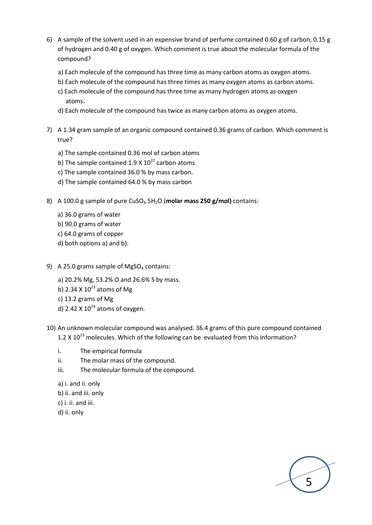- 6) A sample of the solvent used in an expensive brand of perfume contained 0.60 g of carbon, 0.15 g of hydrogen and 0.40 g of oxygen. Which comment is true about the molecular formula of the compound?
	- a) Each molecule of the compound has three time as many carbon atoms as oxygen atoms.
	- b) Each molecule of the compound has three times as many oxygen atoms as carbon atoms.
	- c) Each molecule of the compound has three time as many hydrogen atoms as oxygen atoms.
	- d) Each molecule of the compound has twice as many carbon atoms as oxygen atoms.
- 7) A 1.34 gram sample of an organic compound contained 0.36 grams of carbon. Which comment is true?
	- a) The sample contained 0.36 mol of carbon atoms
	- b) The sample contained 1.9 X  $10^{22}$  carbon atoms
	- c) The sample contained 36.0 % by mass carbon.
	- d) The sample contained 64.0 % by mass carbon
- 8) A 100.0 g sample of pure CuSO<sub>4</sub>.5H<sub>2</sub>O (molar mass 250 g/mol) contains:
	- a) 36.0 grams of water
	- b) 90.0 grams of water
	- c) 64.0 grams of copper
	- d) both options a) and b).
- 9) A 25.0 grams sample of MgSO<sub>4</sub> contains:
	- a) 20.2% Mg, 53.2% O and 26.6% S by mass.
	- b) 2.34 X  $10^{23}$  atoms of Mg
	- c) 13.2 grams of Mg
	- d) 2.42 X  $10^{24}$  atoms of oxygen.
- 10) An unknown molecular compound was analysed. 36.4 grams of this pure compound contained 1.2 X  $10^{23}$  molecules. Which of the following can be evaluated from this information?

5

- i. The empirical formula
- ii. The molar mass of the compound.
- iii. The molecular formula of the compound.
- a) i. and ii. only
- b) ii. and iii. only
- c) i. ii. and iii.
- d) ii. only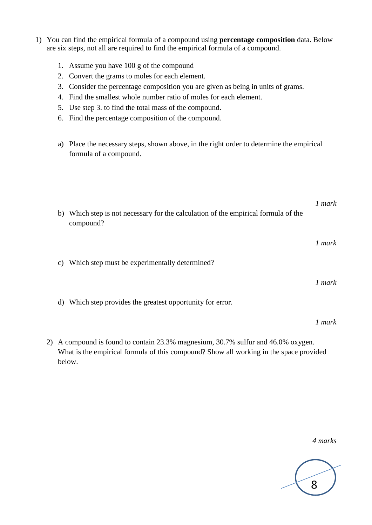- 1) You can find the empirical formula of a compound using **percentage composition** data. Below are six steps, not all are required to find the empirical formula of a compound.
	- 1. Assume you have 100 g of the compound
	- 2. Convert the grams to moles for each element.
	- 3. Consider the percentage composition you are given as being in units of grams.
	- 4. Find the smallest whole number ratio of moles for each element.
	- 5. Use step 3. to find the total mass of the compound.
	- 6. Find the percentage composition of the compound.
	- a) Place the necessary steps, shown above, in the right order to determine the empirical formula of a compound.

*1 mark* b) Which step is not necessary for the calculation of the empirical formula of the compound? *1 mark* c) Which step must be experimentally determined? *1 mark* d) Which step provides the greatest opportunity for error.

2) A compound is found to contain 23.3% magnesium, 30.7% sulfur and 46.0% oxygen. What is the empirical formula of this compound? Show all working in the space provided below.

*4 marks*

*1 mark*

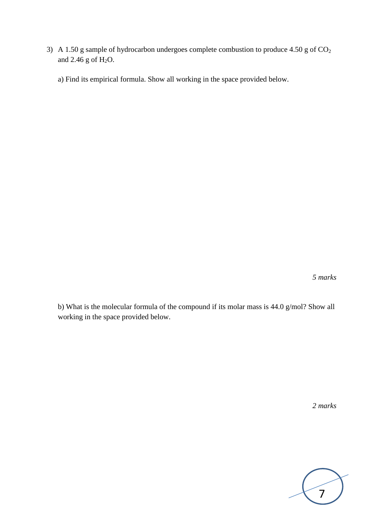3) A 1.50 g sample of hydrocarbon undergoes complete combustion to produce 4.50 g of  $CO<sub>2</sub>$ and  $2.46$  g of  $H<sub>2</sub>O$ .

a) Find its empirical formula. Show all working in the space provided below.

*5 marks*

b) What is the molecular formula of the compound if its molar mass is 44.0 g/mol? Show all working in the space provided below.

*2 marks*

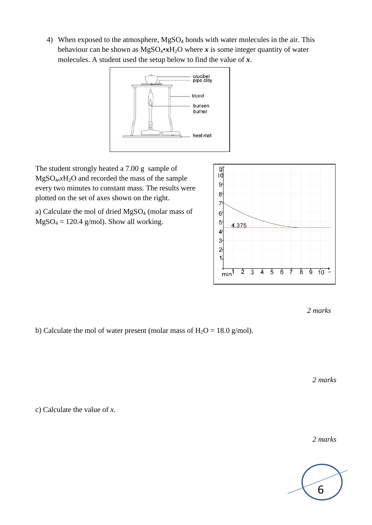4) When exposed to the atmosphere, MgSO<sup>4</sup> bonds with water molecules in the air. This behaviour can be shown as  $MgSO_4\cdot xH_2O$  where *x* is some integer quantity of water molecules. A student used the setup below to find the value of *x*.



The student strongly heated a 7.00 g sample of MgSO4**.***x*H2O and recorded the mass of the sample every two minutes to constant mass. The results were plotted on the set of axes shown on the right.

a) Calculate the mol of dried MgSO<sup>4</sup> (molar mass of  $MgSO_4 = 120.4$  g/mol). Show all working.



*2 marks*

b) Calculate the mol of water present (molar mass of  $H_2O = 18.0$  g/mol).

*2 marks*

c) Calculate the value of *x*.

*2 marks*